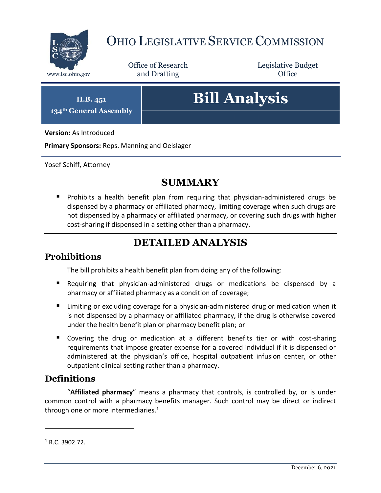

## OHIO LEGISLATIVE SERVICE COMMISSION

Office of Research www.lsc.ohio.gov **and Drafting Office** 

Legislative Budget

**H.B. 451 134th General Assembly**

# **Bill Analysis**

**Version:** As Introduced

**Primary Sponsors:** Reps. Manning and Oelslager

Yosef Schiff, Attorney

## **SUMMARY**

**Prohibits a health benefit plan from requiring that physician-administered drugs be** dispensed by a pharmacy or affiliated pharmacy, limiting coverage when such drugs are not dispensed by a pharmacy or affiliated pharmacy, or covering such drugs with higher cost-sharing if dispensed in a setting other than a pharmacy.

## **DETAILED ANALYSIS**

#### **Prohibitions**

The bill prohibits a health benefit plan from doing any of the following:

- Requiring that physician-administered drugs or medications be dispensed by a pharmacy or affiliated pharmacy as a condition of coverage;
- Limiting or excluding coverage for a physician-administered drug or medication when it is not dispensed by a pharmacy or affiliated pharmacy, if the drug is otherwise covered under the health benefit plan or pharmacy benefit plan; or
- Covering the drug or medication at a different benefits tier or with cost-sharing requirements that impose greater expense for a covered individual if it is dispensed or administered at the physician's office, hospital outpatient infusion center, or other outpatient clinical setting rather than a pharmacy.

#### **Definitions**

"**Affiliated pharmacy**" means a pharmacy that controls, is controlled by, or is under common control with a pharmacy benefits manager. Such control may be direct or indirect through one or more intermediaries. $1$ 

 $\overline{a}$ 

 $1$  R.C. 3902.72.